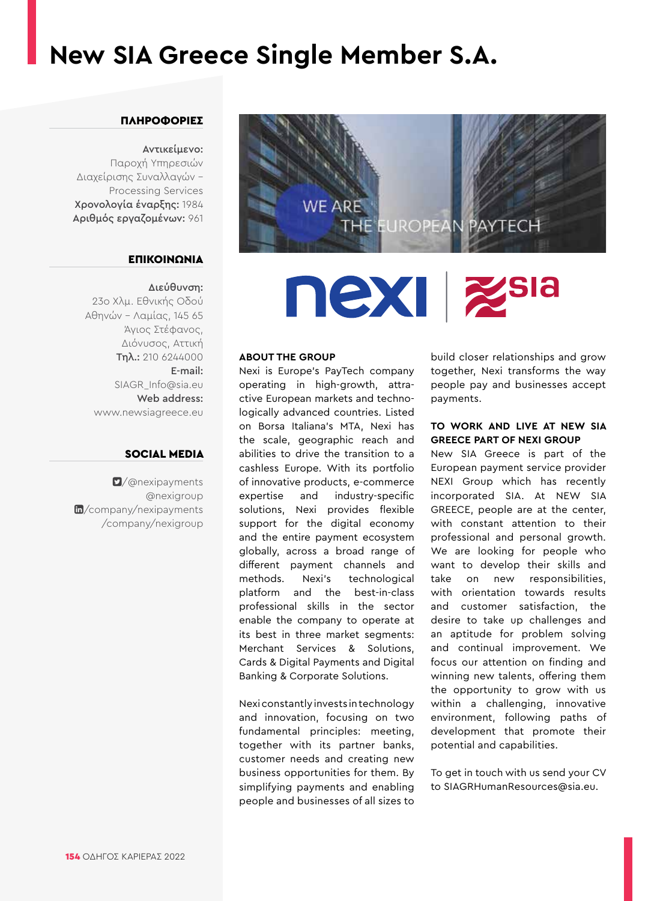## **New SIA Greece Single Member S.A.**

## ΠΛΗΡΟΦΟΡΙΕΣ

## Αντικείμενο:

Παροχή Υπηρεσιών Διαχείρισης Συναλλαγών - Processing Services Χρονολογία έναρξης: 1984 Αριθμός εργαζομένων: 961

## ΕΠΙΚΟΙΝΩΝΙΑ

### Διεύθυνση:

23ο Χλμ. Εθνικής Οδού Αθηνών – Λαμίας, 145 65 Άγιος Στέφανος, Διόνυσος, Αττική Τηλ.: 210 6244000 E-mail: SIAGR\_Info@sia.eu Web address: www.newsiagreece.eu

## SOCIAL MEDIA

[/@nexipayments](https://twitter.com/nexipayments)  @nexigroup m[/company/nexipayments](https://www.linkedin.com/company/nexipayments/) /company/nexigroup



## nexi izsia

## **ABOUT THE GROUP**

Nexi is Europe's PayTech company operating in high-growth, attractive European markets and technologically advanced countries. Listed on Borsa Italiana's MTA, Nexi has the scale, geographic reach and abilities to drive the transition to a cashless Europe. With its portfolio of innovative products, e-commerce expertise and industry-specific solutions, Nexi provides flexible support for the digital economy and the entire payment ecosystem globally, across a broad range of different payment channels and methods. Nexi's technological platform and the best-in-class professional skills in the sector enable the company to operate at its best in three market segments: Merchant Services & Solutions, Cards & Digital Payments and Digital Banking & Corporate Solutions.

Nexi constantly invests in technology and innovation, focusing on two fundamental principles: meeting, together with its partner banks, customer needs and creating new business opportunities for them. By simplifying payments and enabling people and businesses of all sizes to

build closer relationships and grow together, Nexi transforms the way people pay and businesses accept payments.

## **TO WORK AND LIVE AT NEW SIA GREECE PART OF NEXI GROUP**

New SIA Greece is part of the European payment service provider NEXI Group which has recently incorporated SIA. At NEW SIA GREECE, people are at the center, with constant attention to their professional and personal growth. We are looking for people who want to develop their skills and take on new responsibilities, with orientation towards results and customer satisfaction, the desire to take up challenges and an aptitude for problem solving and continual improvement. We focus our attention on finding and winning new talents, offering them the opportunity to grow with us within a challenging, innovative environment, following paths of development that promote their potential and capabilities.

To get in touch with us send your CV to SIAGRHumanResources@sia.eu.